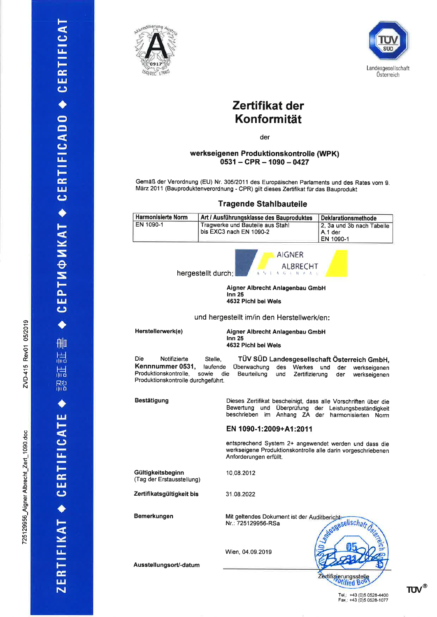删 耑 晨 膙

← CERTIFICATE

ZERTIFIKAT

CEPTMФИКАТ ◆ CERTIFICADO ◆ CERTIFICAT

05/2019

ਣ੍ o É.

/D-415 N

o o c oo) o

LZert<br>L

lbrech<sup>-</sup>

0) c .9)

29956<br>2

7251





# Zertifikat der Konformität

der

## werkseigenen Produktionskontrolle (WPK)  $0531 - CPR - 1090 - 0427$

Gemäß der Verordnung (EU) Nr. 30512011 des Europäischen Parlaments und des Rates vom g. Mäz 2011 (Bauproduktenverordnung - CPR) gilt dieses Zertifikat für das Bauprodukt

## Tragende Stahlbauteile

| <b>Harmonisierte Norm</b>       | Art / Ausführungsklasse des Bauproduktes                             | Deklarationsmethode                               |  |
|---------------------------------|----------------------------------------------------------------------|---------------------------------------------------|--|
| EN 1090-1                       | Tragwerke und Bauteile aus Stahl<br>bis EXC3 nach EN 1090-2          | 2, 3a und 3b nach Tabelle<br>A.1 der<br>EN 1090-1 |  |
|                                 | <b>AIGNER</b><br><b>ALBRECHT</b><br>hergestellt durch:<br>ANIAGEMEAC |                                                   |  |
| Aigner Albrecht Anlagenhau GmhH |                                                                      |                                                   |  |

Aigner Albrecht Anlagenbau GmbH lnn 25 4632 Pichl bei Wels

#### und hergestellt im/in den Herstellwerk/en:

Herstellerwerk(e)

Aigner Albrecht Anlagenbau GmbH  $Inn<sub>25</sub>$ 4632 Pichl bei Wels

Die Notifizierte Stelle,<br>Kennnummer 0531, laufende Kennnummer 0531, Produktionskontrolle, sowie die Produktionskontrolle durchgeführt. TÜV SÜD Landesgesellschaft Österreich GmbH,<br>berwachung des Werkes und der werkseigenen Überuvachung des Werkes und der werkseigenen Zertifizierung

EN 1090-1:2009+A1:2011

Anforderungen erfüllt.

10.08.2012

31 .08.2022

Bestätigung

Gültigkeitsbeginn (Tag der Erstausstellung)

Zertifikatsgültigkeit bis

Bemerkungen

Mit geltendes Dokument ist der Auditbericht: esgesellschaft Nr.: 7251 29956-RSa

Dieses Zertifikat bescheinigt, dass alle Vorschriften über die Bewertung und Überprüfung der Leistungsbeständigkeit<br>beschrieben im Anhang ZA der harmonisierten Norm

entsprechend System 2+ angewendet werden und dass die werkseigene Produktionskontrolle alle darin vorgeschriebenen

Anhang ZA der harmonisierten Norm

Wien,04.09.2019

Ausstell ungsorU-datum

Zertifizierungsstelle

# TUV<sup>®</sup>